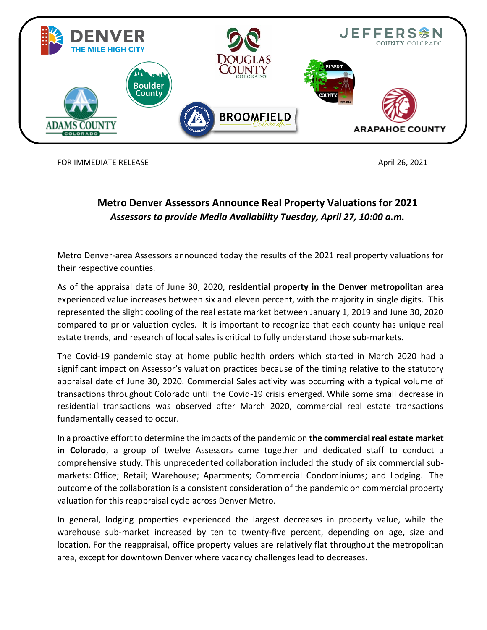

FOR IMMEDIATE RELEASE And the state of the state of the state of the state of the state of the state of the state of the state of the state of the state of the state of the state of the state of the state of the state of t

## **Metro Denver Assessors Announce Real Property Valuations for 2021** *Assessors to provide Media Availability Tuesday, April 27, 10:00 a.m.*

Metro Denver-area Assessors announced today the results of the 2021 real property valuations for their respective counties.

As of the appraisal date of June 30, 2020, **residential property in the Denver metropolitan area** experienced value increases between six and eleven percent, with the majority in single digits. This represented the slight cooling of the real estate market between January 1, 2019 and June 30, 2020 compared to prior valuation cycles. It is important to recognize that each county has unique real estate trends, and research of local sales is critical to fully understand those sub-markets.

The Covid-19 pandemic stay at home public health orders which started in March 2020 had a significant impact on Assessor's valuation practices because of the timing relative to the statutory appraisal date of June 30, 2020. Commercial Sales activity was occurring with a typical volume of transactions throughout Colorado until the Covid-19 crisis emerged. While some small decrease in residential transactions was observed after March 2020, commercial real estate transactions fundamentally ceased to occur.

In a proactive effort to determine the impacts of the pandemic on **the commercial real estate market in Colorado**, a group of twelve Assessors came together and dedicated staff to conduct a comprehensive study. This unprecedented collaboration included the study of six commercial submarkets: Office; Retail; Warehouse; Apartments; Commercial Condominiums; and Lodging. The outcome of the collaboration is a consistent consideration of the pandemic on commercial property valuation for this reappraisal cycle across Denver Metro.

In general, lodging properties experienced the largest decreases in property value, while the warehouse sub-market increased by ten to twenty-five percent, depending on age, size and location. For the reappraisal, office property values are relatively flat throughout the metropolitan area, except for downtown Denver where vacancy challenges lead to decreases.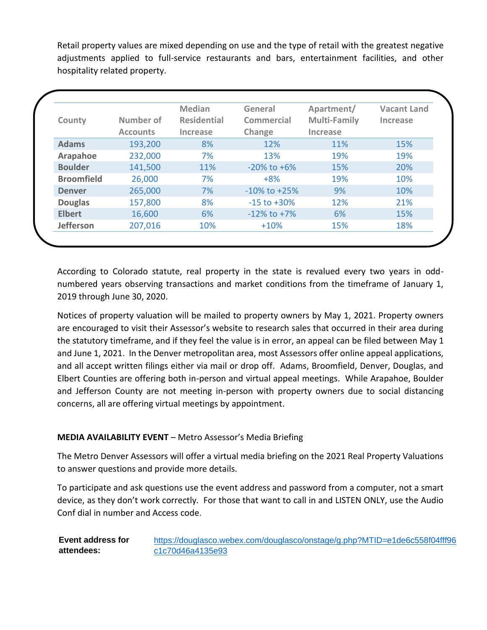Retail property values are mixed depending on use and the type of retail with the greatest negative adjustments applied to full-service restaurants and bars, entertainment facilities, and other hospitality related property.

| County            | Number of<br><b>Accounts</b> | <b>Median</b><br><b>Residential</b><br>Increase | General<br>Commercial<br>Change | Apartment/<br><b>Multi-Family</b><br>Increase | <b>Vacant Land</b><br>Increase |
|-------------------|------------------------------|-------------------------------------------------|---------------------------------|-----------------------------------------------|--------------------------------|
| <b>Adams</b>      | 193,200                      | 8%                                              | 12%                             | 11%                                           | 15%                            |
| Arapahoe          | 232,000                      | 7%                                              | 13%                             | 19%                                           | 19%                            |
| <b>Boulder</b>    | 141,500                      | 11%                                             | $-20\%$ to $+6\%$               | 15%                                           | 20%                            |
| <b>Broomfield</b> | 26,000                       | 7%                                              | $+8%$                           | 19%                                           | 10%                            |
| <b>Denver</b>     | 265,000                      | 7%                                              | $-10\%$ to $+25\%$              | 9%                                            | 10%                            |
| <b>Douglas</b>    | 157,800                      | 8%                                              | $-15$ to $+30%$                 | 12%                                           | 21%                            |
| <b>Elbert</b>     | 16,600                       | 6%                                              | $-12\%$ to $+7\%$               | 6%                                            | 15%                            |
| <b>Jefferson</b>  | 207,016                      | 10%                                             | $+10%$                          | 15%                                           | 18%                            |

According to Colorado statute, real property in the state is revalued every two years in oddnumbered years observing transactions and market conditions from the timeframe of January 1, 2019 through June 30, 2020.

Notices of property valuation will be mailed to property owners by May 1, 2021. Property owners are encouraged to visit their Assessor's website to research sales that occurred in their area during the statutory timeframe, and if they feel the value is in error, an appeal can be filed between May 1 and June 1, 2021. In the Denver metropolitan area, most Assessors offer online appeal applications, and all accept written filings either via mail or drop off. Adams, Broomfield, Denver, Douglas, and Elbert Counties are offering both in-person and virtual appeal meetings. While Arapahoe, Boulder and Jefferson County are not meeting in-person with property owners due to social distancing concerns, all are offering virtual meetings by appointment.

## **MEDIA AVAILABILITY EVENT** – Metro Assessor's Media Briefing

The Metro Denver Assessors will offer a virtual media briefing on the 2021 Real Property Valuations to answer questions and provide more details.

To participate and ask questions use the event address and password from a computer, not a smart device, as they don't work correctly. For those that want to call in and LISTEN ONLY, use the Audio Conf dial in number and Access code.

| Event address for | https://douglasco.webex.com/douglasco/onstage/g.php?MTID=e1de6c558f04fff96 |
|-------------------|----------------------------------------------------------------------------|
| attendees:        | c1c70d46a4135e93                                                           |